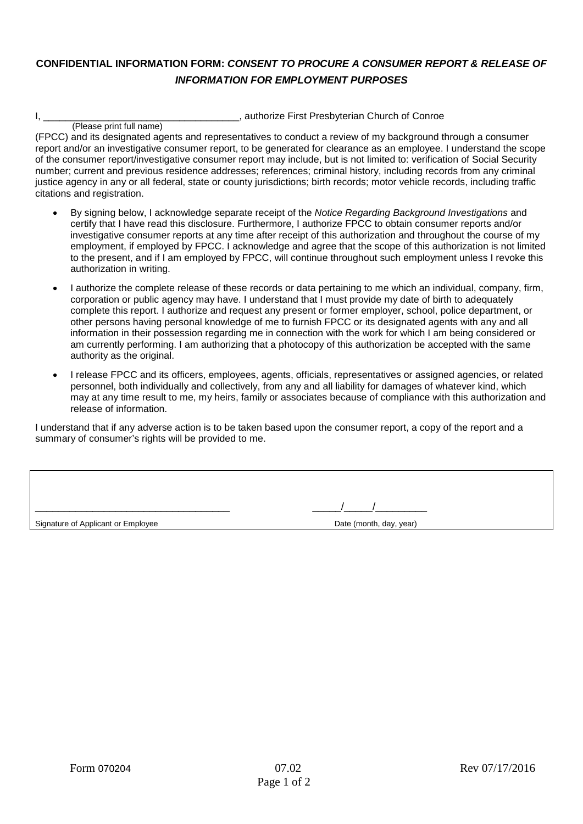## **CONFIDENTIAL INFORMATION FORM:** *CONSENT TO PROCURE A CONSUMER REPORT & RELEASE OF INFORMATION FOR EMPLOYMENT PURPOSES*

I, \_\_\_\_\_\_\_\_\_\_\_\_\_\_\_\_\_\_\_\_\_\_\_\_\_\_\_\_\_\_\_\_\_\_\_\_, authorize First Presbyterian Church of Conroe

 (Please print full name) (FPCC) and its designated agents and representatives to conduct a review of my background through a consumer report and/or an investigative consumer report, to be generated for clearance as an employee. I understand the scope of the consumer report/investigative consumer report may include, but is not limited to: verification of Social Security number; current and previous residence addresses; references; criminal history, including records from any criminal justice agency in any or all federal, state or county jurisdictions; birth records; motor vehicle records, including traffic citations and registration.

- By signing below, I acknowledge separate receipt of the *Notice Regarding Background Investigations* and certify that I have read this disclosure. Furthermore, I authorize FPCC to obtain consumer reports and/or investigative consumer reports at any time after receipt of this authorization and throughout the course of my employment, if employed by FPCC. I acknowledge and agree that the scope of this authorization is not limited to the present, and if I am employed by FPCC, will continue throughout such employment unless I revoke this authorization in writing.
- I authorize the complete release of these records or data pertaining to me which an individual, company, firm, corporation or public agency may have. I understand that I must provide my date of birth to adequately complete this report. I authorize and request any present or former employer, school, police department, or other persons having personal knowledge of me to furnish FPCC or its designated agents with any and all information in their possession regarding me in connection with the work for which I am being considered or am currently performing. I am authorizing that a photocopy of this authorization be accepted with the same authority as the original.
- I release FPCC and its officers, employees, agents, officials, representatives or assigned agencies, or related personnel, both individually and collectively, from any and all liability for damages of whatever kind, which may at any time result to me, my heirs, family or associates because of compliance with this authorization and release of information.

I understand that if any adverse action is to be taken based upon the consumer report, a copy of the report and a summary of consumer's rights will be provided to me.

\_\_\_\_\_\_\_\_\_\_\_\_\_\_\_\_\_\_\_\_\_\_\_\_\_\_\_\_\_\_\_\_\_\_ \_\_\_\_\_/\_\_\_\_\_/\_\_\_\_\_\_\_\_\_

Signature of Applicant or Employee **Date (month, day, year)** Date (month, day, year)

|  |  | Date (month, day, yea |
|--|--|-----------------------|
|--|--|-----------------------|